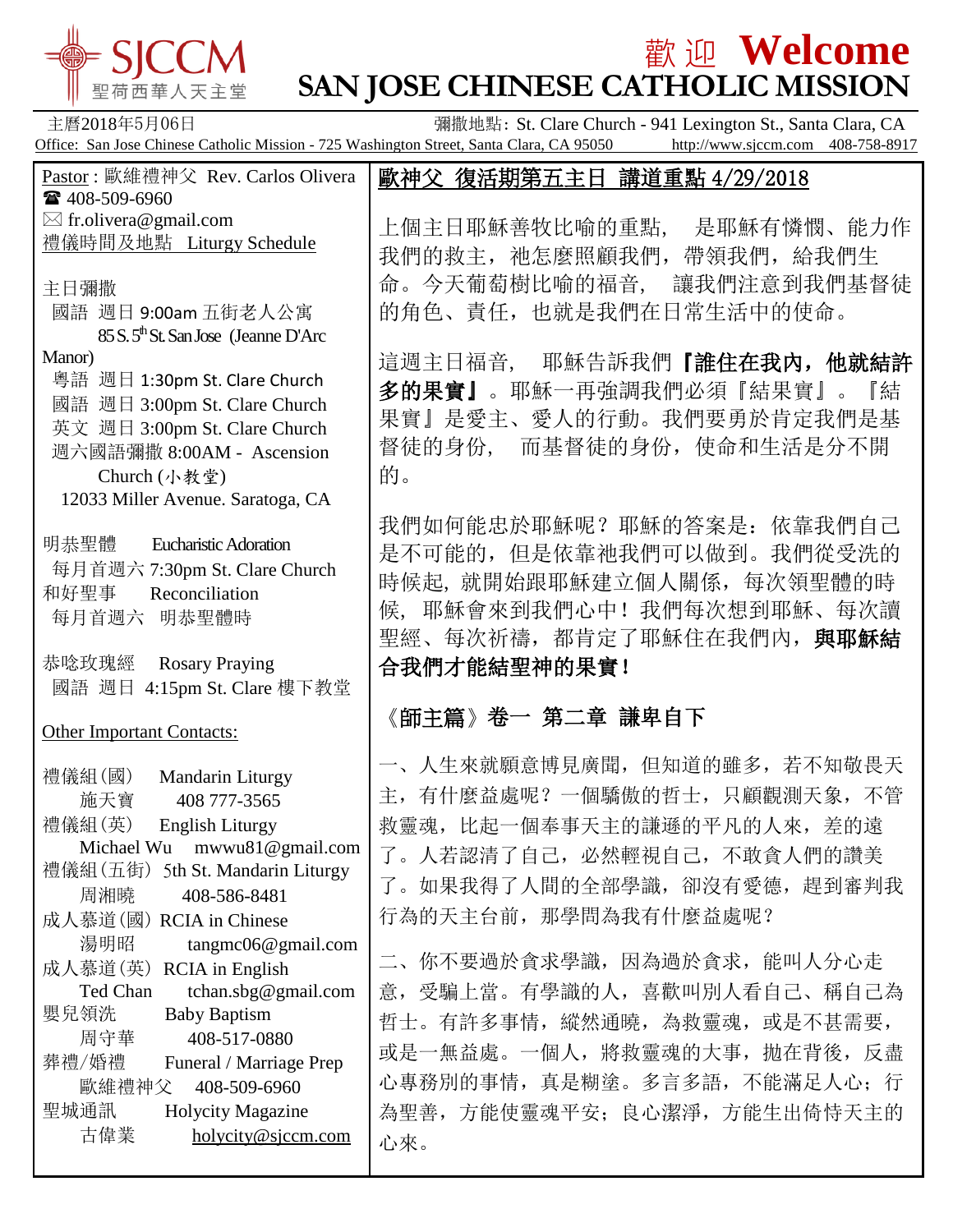

# **歡迎 Welcome SAN JOSE CHINESE CATHOLIC MISSION**

主曆2018年5月06日 **Example 2018年5月06日 香港**撒地點: St. Clare Church - 941 Lexington St., Santa Clara, CA Office: San Jose Chinese Catholic Mission - 725 Washington Street, Santa Clara, CA 95050 http://www.sjccm.com 408-758-8917 Pastor : 歐維禮神父 Rev. Carlos Olivera ■ 408-509-6960  $\boxtimes$  fr.olivera@gmail.com 禮儀時間及地點 Liturgy Schedule 主日彌撒 國語 週日 9:00am 五街老人公寓 85 S. 5<sup>th</sup> St. San Jose (Jeanne D'Arc) Manor) 粵語 週日 1:30pm St. Clare Church 國語 週日 3:00pm St. Clare Church 英文 週日 3:00pm St. Clare Church 週六國語彌撒 8:00AM - Ascension Church (小教堂) 12033 Miller Avenue. Saratoga, CA 明恭聖體 Eucharistic Adoration 每月首週六 7:30pm St. Clare Church 和好聖事 Reconciliation 每月首週六 明恭聖體時 恭唸玫瑰經 Rosary Praying 國語 週日 4:15pm St. Clare 樓下教堂 Other Important Contacts: 禮儀組(國) Mandarin Liturgy 施天寶 408 777-3565 禮儀組(英) English Liturgy Michael Wu mwwu81@gmail.com 禮儀組(五街) 5th St. Mandarin Liturgy 周湘曉 408-586-8481 成人慕道(國) RCIA in Chinese 湯明昭 tangmc06@gmail.com 成人慕道(英) RCIA in English Ted Chan tchan.sbg@gmail.com 嬰兒領洗 Baby Baptism 周守華 408-517-0880 葬禮/婚禮 Funeral / Marriage Prep 歐維禮神父 408-509-6960 聖城通訊 Holycity Magazine 古偉業 [holycity@sjccm.com](mailto:holycity@sjccm.com) 歐神父 復活期第五主日 講道重點 4/29/2018 上個主日耶穌善牧比喻的重點, 是耶穌有憐憫、能力作 我們的救主,祂怎麼照顧我們,帶領我們,給我們生 命。今天葡萄樹比喻的福音, 讓我們注意到我們基督徒 的角色、責任,也就是我們在日常生活中的使命。 這週主日福音, 耶穌告訴我們『誰住在我內,他就結許 多的果實』。耶穌一再強調我們必須『結果實』。『結 果實』是愛主、愛人的行動。我們要勇於肯定我們是基 督徒的身份, 而基督徒的身份,使命和生活是分不開 的。 我們如何能忠於耶穌呢?耶穌的答案是:依靠我們自己 是不可能的,但是依靠祂我們可以做到。我們從受洗的 時候起, 就開始跟耶穌建立個人關係,每次領聖體的時 候, 耶穌會來到我們心中!我們每次想到耶穌、每次讀 聖經、每次祈禱,都肯定了耶穌住在我們內,與耶穌結 合我們才能結聖神的果實! 《師主篇》卷一 第二章 謙卑自下 一、人生來就願意博見廣聞,但知道的雖多,若不知敬畏天 主,有什麼益處呢?一個驕傲的哲士,只顧觀測天象,不管 救靈魂,比起一個奉事天主的謙遜的平凡的人來,差的遠 了。人若認清了自己,必然輕視自己,不敢貪人們的讚美 了。如果我得了人間的全部學識,卻沒有愛德,趕到審判我 行為的天主台前,那學問為我有什麼益處呢? 二、你不要過於貪求學識,因為過於貪求,能叫人分心走 意,受騙上當。有學識的人,喜歡叫別人看自己、稱自己為 哲士。有許多事情, 縱然通曉, 為救靈魂, 或是不甚需要, 或是一無益處。一個人,將救靈魂的大事, 抛在背後, 反盡 心專務別的事情,真是糊塗。多言多語,不能滿足人心;行 為聖善,方能使靈魂平安;良心潔淨,方能生出倚恃天主的 心來。